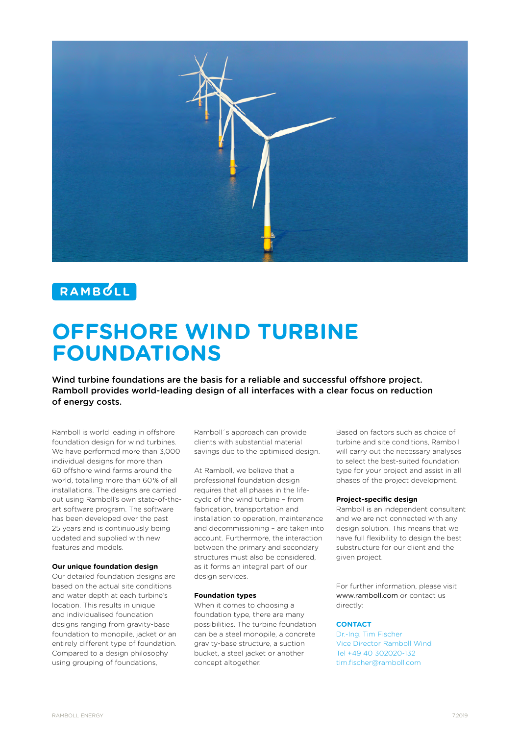

## RAMBULL

# **OFFSHORE WIND TURBINE FOUNDATIONS**

Wind turbine foundations are the basis for a reliable and successful offshore project. Ramboll provides world-leading design of all interfaces with a clear focus on reduction of energy costs.

Ramboll is world leading in offshore foundation design for wind turbines. We have performed more than 3,000 individual designs for more than 60 offshore wind farms around the world, totalling more than 60 % of all installations. The designs are carried out using Ramboll's own state-of-theart software program. The software has been developed over the past 25 years and is continuously being updated and supplied with new features and models.

#### **Our unique foundation design**

Our detailed foundation designs are based on the actual site conditions and water depth at each turbine's location. This results in unique and individualised foundation designs ranging from gravity-base foundation to monopile, jacket or an entirely different type of foundation. Compared to a design philosophy using grouping of foundations,

Ramboll´s approach can provide clients with substantial material savings due to the optimised design.

At Ramboll, we believe that a professional foundation design requires that all phases in the lifecycle of the wind turbine – from fabrication, transportation and installation to operation, maintenance and decommissioning – are taken into account. Furthermore, the interaction between the primary and secondary structures must also be considered, as it forms an integral part of our design services.

#### **Foundation types**

When it comes to choosing a foundation type, there are many possibilities. The turbine foundation can be a steel monopile, a concrete gravity-base structure, a suction bucket, a steel jacket or another concept altogether.

Based on factors such as choice of turbine and site conditions, Ramboll will carry out the necessary analyses to select the best-suited foundation type for your project and assist in all phases of the project development.

#### **Project-specific design**

Ramboll is an independent consultant and we are not connected with any design solution. This means that we have full flexibility to design the best substructure for our client and the given project.

For further information, please visit www.ramboll.com or contact us directly:

#### **CONTACT**

Dr.-Ing. Tim Fischer Vice Director Ramboll Wind Tel +49 40 302020-132 tim.fischer@ramboll.com